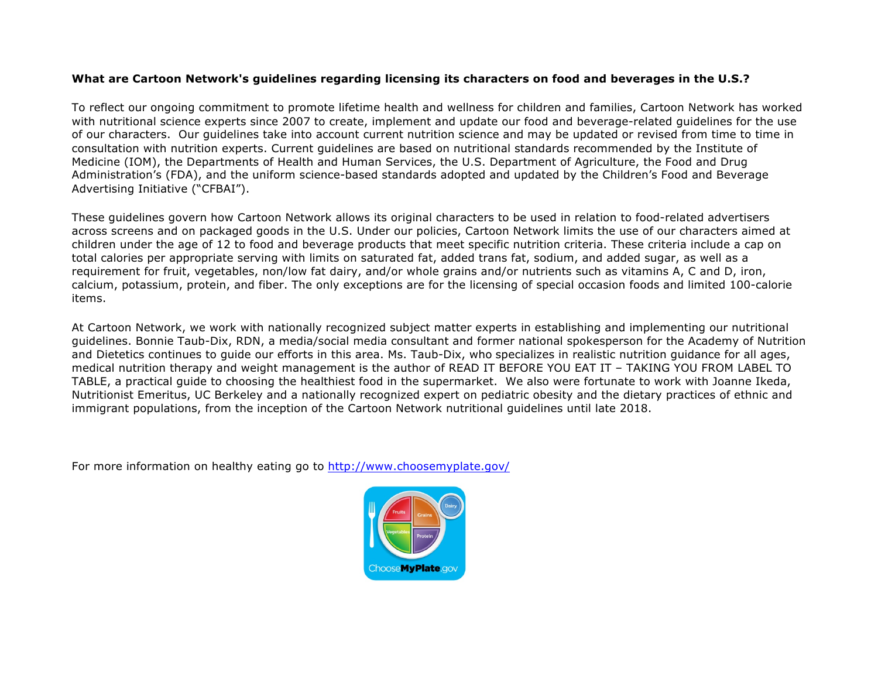## **What are Cartoon Network's guidelines regarding licensing its characters on food and beverages in the U.S.?**

To reflect our ongoing commitment to promote lifetime health and wellness for children and families, Cartoon Network has worked with nutritional science experts since 2007 to create, implement and update our food and beverage-related guidelines for the use of our characters. Our guidelines take into account current nutrition science and may be updated or revised from time to time in consultation with nutrition experts. Current guidelines are based on nutritional standards recommended by the Institute of Medicine (IOM), the Departments of Health and Human Services, the U.S. Department of Agriculture, the Food and Drug Administration's (FDA), and the uniform science-based standards adopted and updated by the Children's Food and Beverage Advertising Initiative ("CFBAI").

These guidelines govern how Cartoon Network allows its original characters to be used in relation to food-related advertisers across screens and on packaged goods in the U.S. Under our policies, Cartoon Network limits the use of our characters aimed at children under the age of 12 to food and beverage products that meet specific nutrition criteria. These criteria include a cap on total calories per appropriate serving with limits on saturated fat, added trans fat, sodium, and added sugar, as well as a requirement for fruit, vegetables, non/low fat dairy, and/or whole grains and/or nutrients such as vitamins A, C and D, iron, calcium, potassium, protein, and fiber. The only exceptions are for the licensing of special occasion foods and limited 100-calorie items.

At Cartoon Network, we work with nationally recognized subject matter experts in establishing and implementing our nutritional guidelines. Bonnie Taub-Dix, RDN, a media/social media consultant and former national spokesperson for the Academy of Nutrition and Dietetics continues to guide our efforts in this area. Ms. Taub-Dix, who specializes in realistic nutrition guidance for all ages, medical nutrition therapy and weight management is the author of READ IT BEFORE YOU EAT IT – TAKING YOU FROM LABEL TO TABLE, a practical guide to choosing the healthiest food in the supermarket. We also were fortunate to work with Joanne Ikeda, Nutritionist Emeritus, UC Berkeley and a nationally recognized expert on pediatric obesity and the dietary practices of ethnic and immigrant populations, from the inception of the Cartoon Network nutritional guidelines until late 2018.

For more information on healthy eating go to http://www.choosemyplate.gov/

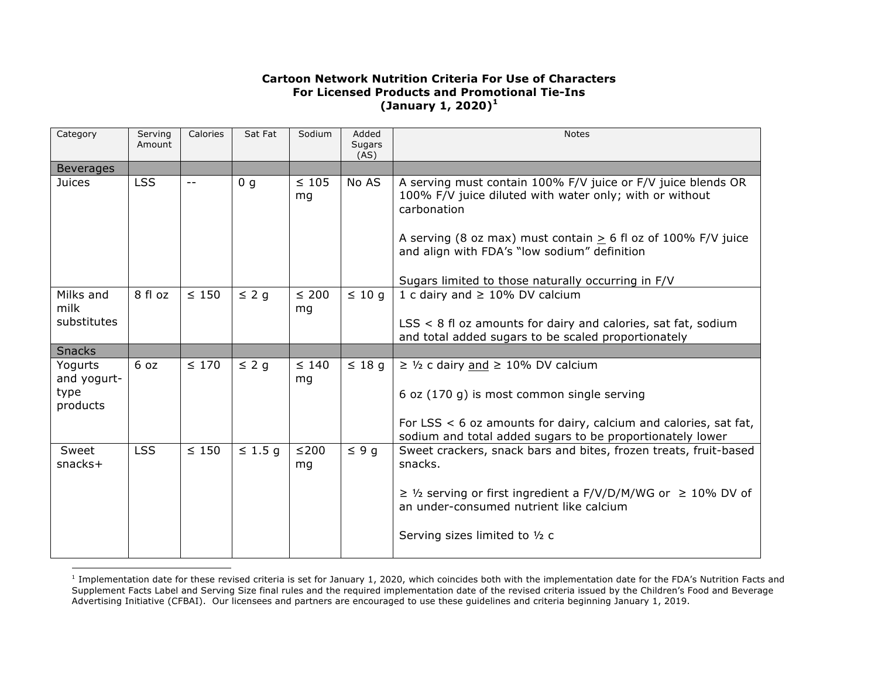## **Cartoon Network Nutrition Criteria For Use of Characters For Licensed Products and Promotional Tie-Ins (January 1, 2020)<sup>1</sup>**

| Category                                   | Serving<br>Amount | Calories   | Sat Fat        | Sodium           | Added<br>Sugars<br>(AS) | <b>Notes</b>                                                                                                                                                                                                                                              |
|--------------------------------------------|-------------------|------------|----------------|------------------|-------------------------|-----------------------------------------------------------------------------------------------------------------------------------------------------------------------------------------------------------------------------------------------------------|
| <b>Beverages</b>                           |                   |            |                |                  |                         |                                                                                                                                                                                                                                                           |
| <b>Juices</b>                              | <b>LSS</b>        | $ -$       | 0 <sub>q</sub> | $\leq 105$<br>mg | No AS                   | A serving must contain 100% F/V juice or F/V juice blends OR<br>100% F/V juice diluted with water only; with or without<br>carbonation<br>A serving (8 oz max) must contain $> 6$ fl oz of 100% F/V juice<br>and align with FDA's "low sodium" definition |
|                                            |                   |            |                |                  |                         | Sugars limited to those naturally occurring in F/V                                                                                                                                                                                                        |
| Milks and<br>milk                          | 8 fl oz           | $\leq 150$ | $\leq 2$ g     | $\leq 200$<br>mq | $\leq 10$ q             | 1 c dairy and $\geq$ 10% DV calcium                                                                                                                                                                                                                       |
| substitutes                                |                   |            |                |                  |                         | $LSS < 8$ fl oz amounts for dairy and calories, sat fat, sodium<br>and total added sugars to be scaled proportionately                                                                                                                                    |
| <b>Snacks</b>                              |                   |            |                |                  |                         |                                                                                                                                                                                                                                                           |
| Yogurts<br>and yogurt-<br>type<br>products | 6 oz              | $\leq 170$ | $\leq$ 2 q     | $\leq 140$<br>mg | $\leq 18$ q             | $\geq$ 1/2 c dairy and $\geq$ 10% DV calcium<br>6 oz (170 g) is most common single serving<br>For LSS $<$ 6 oz amounts for dairy, calcium and calories, sat fat,                                                                                          |
| Sweet                                      | <b>LSS</b>        | $\leq 150$ | $\leq 1.5$ g   | ≤200             | $\leq 9q$               | sodium and total added sugars to be proportionately lower<br>Sweet crackers, snack bars and bites, frozen treats, fruit-based                                                                                                                             |
| $snacks$ +                                 |                   |            |                | mg               |                         | snacks.<br>$\geq$ 1/2 serving or first ingredient a F/V/D/M/WG or $\geq$ 10% DV of<br>an under-consumed nutrient like calcium<br>Serving sizes limited to 1/2 c                                                                                           |

 $<sup>1</sup>$  Implementation date for these revised criteria is set for January 1, 2020, which coincides both with the implementation date for the FDA's Nutrition Facts and</sup> Supplement Facts Label and Serving Size final rules and the required implementation date of the revised criteria issued by the Children's Food and Beverage Advertising Initiative (CFBAI). Our licensees and partners are encouraged to use these guidelines and criteria beginning January 1, 2019.

 $\overline{a}$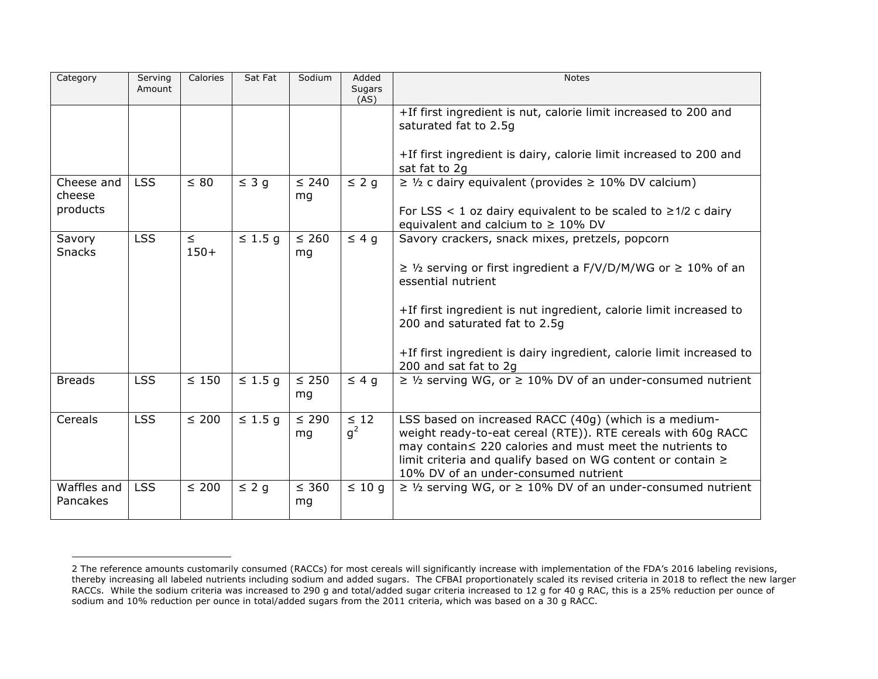| Category                | Serving<br>Amount | Calories         | Sat Fat      | Sodium           | Added<br>Sugars<br>(AS) | <b>Notes</b>                                                                                                                                                                                                                                                                                   |
|-------------------------|-------------------|------------------|--------------|------------------|-------------------------|------------------------------------------------------------------------------------------------------------------------------------------------------------------------------------------------------------------------------------------------------------------------------------------------|
|                         |                   |                  |              |                  |                         | +If first ingredient is nut, calorie limit increased to 200 and<br>saturated fat to 2.5g                                                                                                                                                                                                       |
|                         |                   |                  |              |                  |                         | +If first ingredient is dairy, calorie limit increased to 200 and<br>sat fat to 2q                                                                                                                                                                                                             |
| Cheese and<br>cheese    | <b>LSS</b>        | $\leq 80$        | $\leq 3$ g   | $\leq 240$<br>mg | $\leq$ 2 g              | $\geq$ 1/2 c dairy equivalent (provides $\geq$ 10% DV calcium)                                                                                                                                                                                                                                 |
| products                |                   |                  |              |                  |                         | For LSS < 1 oz dairy equivalent to be scaled to $\geq$ 1/2 c dairy<br>equivalent and calcium to $\geq 10\%$ DV                                                                                                                                                                                 |
| Savory<br><b>Snacks</b> | <b>LSS</b>        | $\leq$<br>$150+$ | $\leq 1.5$ q | $\leq 260$<br>mg | $\leq 4$ q              | Savory crackers, snack mixes, pretzels, popcorn                                                                                                                                                                                                                                                |
|                         |                   |                  |              |                  |                         | $\geq$ 1/2 serving or first ingredient a F/V/D/M/WG or $\geq$ 10% of an<br>essential nutrient                                                                                                                                                                                                  |
|                         |                   |                  |              |                  |                         | +If first ingredient is nut ingredient, calorie limit increased to<br>200 and saturated fat to 2.5g                                                                                                                                                                                            |
|                         |                   |                  |              |                  |                         | +If first ingredient is dairy ingredient, calorie limit increased to<br>200 and sat fat to 2g                                                                                                                                                                                                  |
| <b>Breads</b>           | <b>LSS</b>        | $\leq 150$       | $\leq 1.5$ g | $\leq 250$<br>mg | $\leq 4$ q              | $\geq$ 1/2 serving WG, or $\geq$ 10% DV of an under-consumed nutrient                                                                                                                                                                                                                          |
| Cereals                 | <b>LSS</b>        | $\leq 200$       | $\leq 1.5$ q | $\leq 290$<br>mg | $\leq 12$<br>$q^2$      | LSS based on increased RACC (40g) (which is a medium-<br>weight ready-to-eat cereal (RTE)). RTE cereals with 60g RACC<br>may contain ≤ 220 calories and must meet the nutrients to<br>limit criteria and qualify based on WG content or contain $\geq$<br>10% DV of an under-consumed nutrient |
| Waffles and<br>Pancakes | <b>LSS</b>        | $\leq 200$       | $\leq$ 2 g   | $\leq 360$<br>mg | $\leq 10$ q             | $\geq$ 1/2 serving WG, or $\geq$ 10% DV of an under-consumed nutrient                                                                                                                                                                                                                          |

 $\overline{a}$ 

<sup>2</sup> The reference amounts customarily consumed (RACCs) for most cereals will significantly increase with implementation of the FDA's 2016 labeling revisions, thereby increasing all labeled nutrients including sodium and added sugars. The CFBAI proportionately scaled its revised criteria in 2018 to reflect the new larger RACCs. While the sodium criteria was increased to 290 g and total/added sugar criteria increased to 12 g for 40 g RAC, this is a 25% reduction per ounce of sodium and 10% reduction per ounce in total/added sugars from the 2011 criteria, which was based on a 30 g RACC.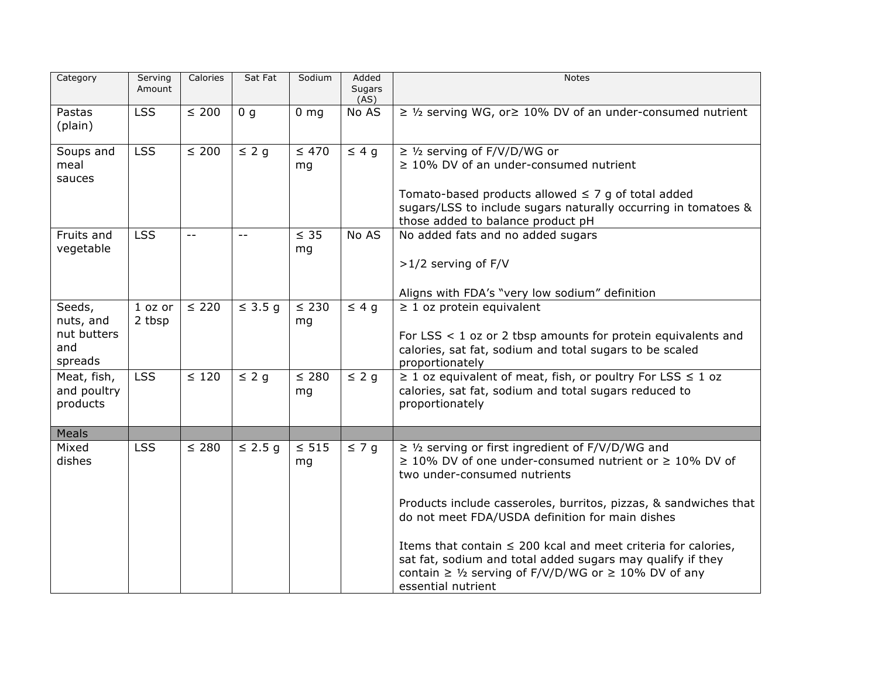| Category                                             | Serving<br>Amount   | Calories                   | Sat Fat        | Sodium           | Added<br>Sugars<br>(AS) | <b>Notes</b>                                                                                                                                                                                                                                                                                                                                                                                                                                                                                                  |
|------------------------------------------------------|---------------------|----------------------------|----------------|------------------|-------------------------|---------------------------------------------------------------------------------------------------------------------------------------------------------------------------------------------------------------------------------------------------------------------------------------------------------------------------------------------------------------------------------------------------------------------------------------------------------------------------------------------------------------|
| Pastas<br>(plain)                                    | <b>LSS</b>          | $\leq 200$                 | 0 <sub>q</sub> | $0 \, mg$        | No AS                   | $\geq$ 1/2 serving WG, or $\geq$ 10% DV of an under-consumed nutrient                                                                                                                                                                                                                                                                                                                                                                                                                                         |
| Soups and<br>meal<br>sauces                          | <b>LSS</b>          | $\leq 200$                 | $\leq$ 2 g     | $\leq 470$<br>mg | $\leq 4$ g              | $\geq$ 1/ <sub>2</sub> serving of F/V/D/WG or<br>$\geq$ 10% DV of an under-consumed nutrient<br>Tomato-based products allowed $\leq$ 7 g of total added<br>sugars/LSS to include sugars naturally occurring in tomatoes &<br>those added to balance product pH                                                                                                                                                                                                                                                |
| Fruits and<br>vegetable                              | <b>LSS</b>          | $\overline{\phantom{m}}$ . | $- -$          | $\leq$ 35<br>mg  | No AS                   | No added fats and no added sugars<br>$>1/2$ serving of F/V<br>Aligns with FDA's "very low sodium" definition                                                                                                                                                                                                                                                                                                                                                                                                  |
| Seeds,<br>nuts, and<br>nut butters<br>and<br>spreads | $1$ oz or<br>2 tbsp | $\leq 220$                 | $\leq$ 3.5 g   | $\leq 230$<br>mg | $\leq 4$ g              | $\geq 1$ oz protein equivalent<br>For LSS $<$ 1 oz or 2 tbsp amounts for protein equivalents and<br>calories, sat fat, sodium and total sugars to be scaled<br>proportionately                                                                                                                                                                                                                                                                                                                                |
| Meat, fish,<br>and poultry<br>products               | <b>LSS</b>          | $\leq 120$                 | $\leq$ 2 g     | $\leq 280$<br>mg | $\leq$ 2 g              | $\geq 1$ oz equivalent of meat, fish, or poultry For LSS $\leq 1$ oz<br>calories, sat fat, sodium and total sugars reduced to<br>proportionately                                                                                                                                                                                                                                                                                                                                                              |
| <b>Meals</b>                                         |                     |                            |                |                  |                         |                                                                                                                                                                                                                                                                                                                                                                                                                                                                                                               |
| Mixed<br>dishes                                      | <b>LSS</b>          | $\leq 280$                 | $\leq$ 2.5 g   | $\leq 515$<br>mg | $\leq 7$ g              | $\geq$ 1/2 serving or first ingredient of F/V/D/WG and<br>$\geq$ 10% DV of one under-consumed nutrient or $\geq$ 10% DV of<br>two under-consumed nutrients<br>Products include casseroles, burritos, pizzas, & sandwiches that<br>do not meet FDA/USDA definition for main dishes<br>Items that contain $\leq$ 200 kcal and meet criteria for calories,<br>sat fat, sodium and total added sugars may qualify if they<br>contain $\geq$ 1/2 serving of F/V/D/WG or $\geq$ 10% DV of any<br>essential nutrient |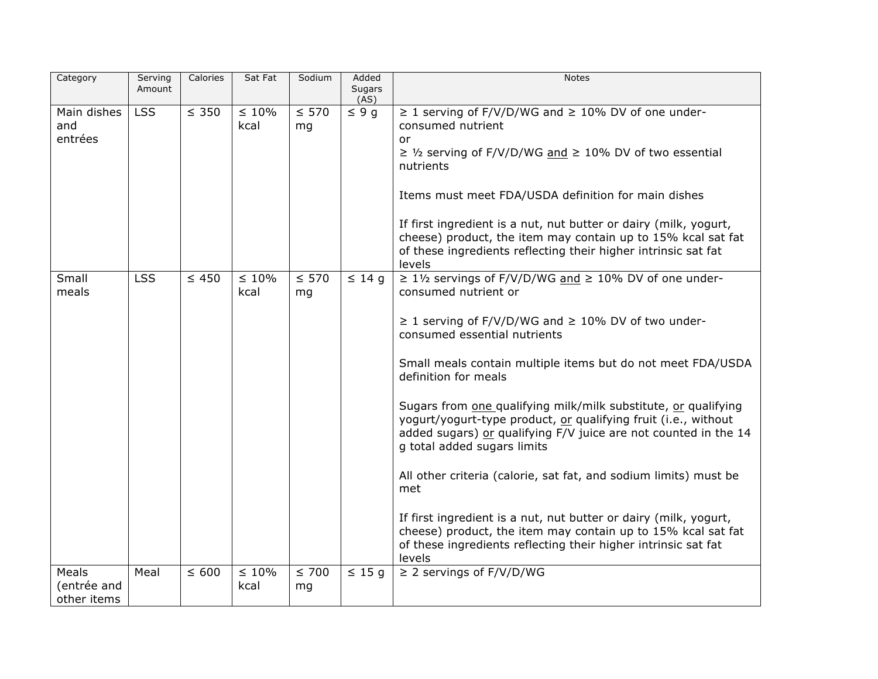| Category           | Serving<br>Amount | Calories   | Sat Fat             | Sodium     | Added<br>Sugars | <b>Notes</b>                                                                                                                     |
|--------------------|-------------------|------------|---------------------|------------|-----------------|----------------------------------------------------------------------------------------------------------------------------------|
|                    |                   |            |                     |            | (AS)            |                                                                                                                                  |
| Main dishes<br>and | <b>LSS</b>        | $\leq$ 350 | $\leq 10\%$<br>kcal | $\leq 570$ | $\leq 9$ g      | $\geq$ 1 serving of F/V/D/WG and $\geq$ 10% DV of one under-<br>consumed nutrient                                                |
| entrées            |                   |            |                     | mg         |                 | or                                                                                                                               |
|                    |                   |            |                     |            |                 | $\geq$ 1/2 serving of F/V/D/WG and $\geq$ 10% DV of two essential                                                                |
|                    |                   |            |                     |            |                 | nutrients                                                                                                                        |
|                    |                   |            |                     |            |                 |                                                                                                                                  |
|                    |                   |            |                     |            |                 | Items must meet FDA/USDA definition for main dishes                                                                              |
|                    |                   |            |                     |            |                 | If first ingredient is a nut, nut butter or dairy (milk, yogurt,                                                                 |
|                    |                   |            |                     |            |                 | cheese) product, the item may contain up to 15% kcal sat fat                                                                     |
|                    |                   |            |                     |            |                 | of these ingredients reflecting their higher intrinsic sat fat                                                                   |
| Small              | <b>LSS</b>        | $\leq 450$ | $\leq 10\%$         | $\leq 570$ | $\leq 14$ q     | levels<br>$\geq 1$ <sup>1</sup> / <sub>2</sub> servings of F/V/D/WG and $\geq 10$ % DV of one under-                             |
| meals              |                   |            | kcal                | mg         |                 | consumed nutrient or                                                                                                             |
|                    |                   |            |                     |            |                 |                                                                                                                                  |
|                    |                   |            |                     |            |                 | $\geq$ 1 serving of F/V/D/WG and $\geq$ 10% DV of two under-                                                                     |
|                    |                   |            |                     |            |                 | consumed essential nutrients                                                                                                     |
|                    |                   |            |                     |            |                 | Small meals contain multiple items but do not meet FDA/USDA                                                                      |
|                    |                   |            |                     |            |                 | definition for meals                                                                                                             |
|                    |                   |            |                     |            |                 |                                                                                                                                  |
|                    |                   |            |                     |            |                 | Sugars from one qualifying milk/milk substitute, or qualifying<br>yogurt/yogurt-type product, or qualifying fruit (i.e., without |
|                    |                   |            |                     |            |                 | added sugars) or qualifying F/V juice are not counted in the 14                                                                  |
|                    |                   |            |                     |            |                 | g total added sugars limits                                                                                                      |
|                    |                   |            |                     |            |                 |                                                                                                                                  |
|                    |                   |            |                     |            |                 | All other criteria (calorie, sat fat, and sodium limits) must be<br>met                                                          |
|                    |                   |            |                     |            |                 |                                                                                                                                  |
|                    |                   |            |                     |            |                 | If first ingredient is a nut, nut butter or dairy (milk, yogurt,                                                                 |
|                    |                   |            |                     |            |                 | cheese) product, the item may contain up to 15% kcal sat fat                                                                     |
|                    |                   |            |                     |            |                 | of these ingredients reflecting their higher intrinsic sat fat<br>levels                                                         |
| Meals              | Meal              | $\leq 600$ | $\leq 10\%$         | $\leq 700$ | $\leq 15$ g     | $\geq$ 2 servings of F/V/D/WG                                                                                                    |
| (entrée and        |                   |            | kcal                | mg         |                 |                                                                                                                                  |
| other items        |                   |            |                     |            |                 |                                                                                                                                  |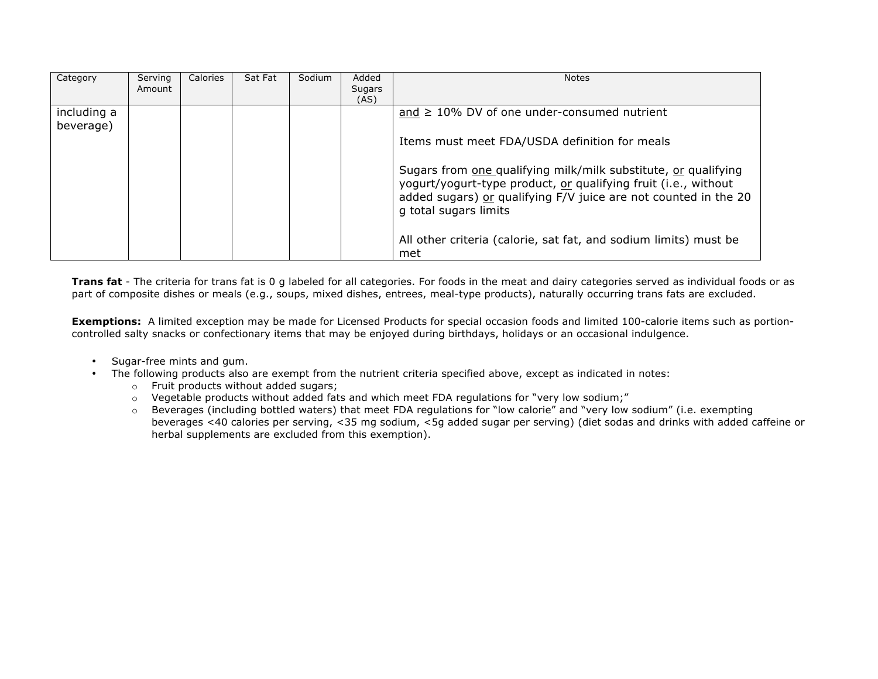| Category                 | Serving<br>Amount | Calories | Sat Fat | Sodium | Added<br>Sugars<br>(AS) | <b>Notes</b>                                                                                                                                                                                                                 |
|--------------------------|-------------------|----------|---------|--------|-------------------------|------------------------------------------------------------------------------------------------------------------------------------------------------------------------------------------------------------------------------|
| including a<br>beverage) |                   |          |         |        |                         | and $\geq$ 10% DV of one under-consumed nutrient                                                                                                                                                                             |
|                          |                   |          |         |        |                         | Items must meet FDA/USDA definition for meals                                                                                                                                                                                |
|                          |                   |          |         |        |                         | Sugars from one qualifying milk/milk substitute, or qualifying<br>yogurt/yogurt-type product, or qualifying fruit (i.e., without<br>added sugars) or qualifying F/V juice are not counted in the 20<br>g total sugars limits |
|                          |                   |          |         |        |                         | All other criteria (calorie, sat fat, and sodium limits) must be<br>met                                                                                                                                                      |

**Trans fat** - The criteria for trans fat is 0 g labeled for all categories. For foods in the meat and dairy categories served as individual foods or as part of composite dishes or meals (e.g., soups, mixed dishes, entrees, meal-type products), naturally occurring trans fats are excluded.

**Exemptions:** A limited exception may be made for Licensed Products for special occasion foods and limited 100-calorie items such as portioncontrolled salty snacks or confectionary items that may be enjoyed during birthdays, holidays or an occasional indulgence.

- Sugar-free mints and gum.
- The following products also are exempt from the nutrient criteria specified above, except as indicated in notes:
	- o Fruit products without added sugars;
	- $\circ$  Vegetable products without added fats and which meet FDA regulations for "very low sodium;"
	- o Beverages (including bottled waters) that meet FDA regulations for "low calorie" and "very low sodium" (i.e. exempting beverages <40 calories per serving, <35 mg sodium, <5g added sugar per serving) (diet sodas and drinks with added caffeine or herbal supplements are excluded from this exemption).